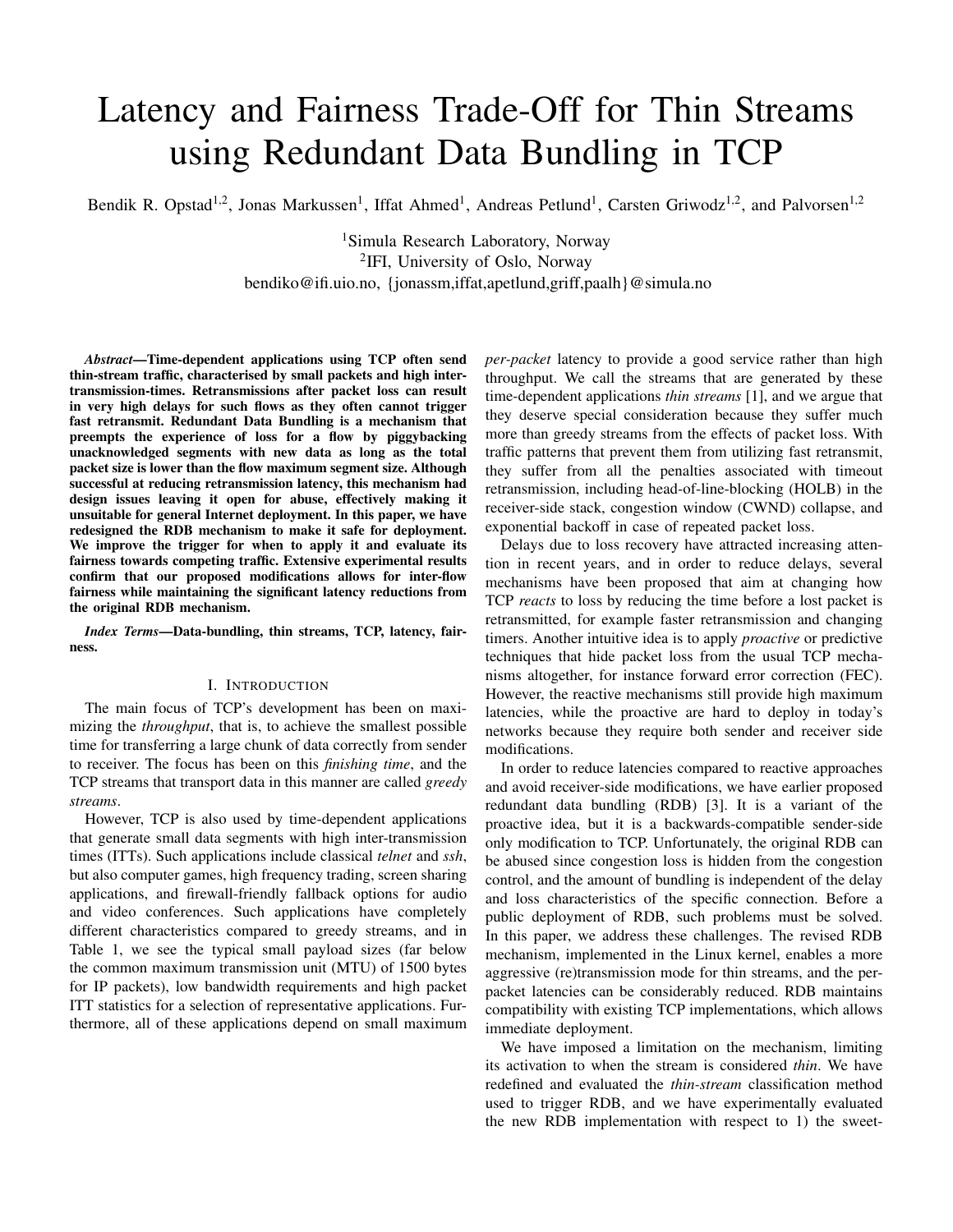# Latency and Fairness Trade-Off for Thin Streams using Redundant Data Bundling in TCP

Bendik R. Opstad<sup>1,2</sup>, Jonas Markussen<sup>1</sup>, Iffat Ahmed<sup>1</sup>, Andreas Petlund<sup>1</sup>, Carsten Griwodz<sup>1,2</sup>, and Palvorsen<sup>1,2</sup>

<sup>1</sup>Simula Research Laboratory, Norway <sup>2</sup>IFI, University of Oslo, Norway bendiko@ifi.uio.no, {jonassm,iffat,apetlund,griff,paalh}@simula.no

*Abstract*—Time-dependent applications using TCP often send thin-stream traffic, characterised by small packets and high intertransmission-times. Retransmissions after packet loss can result in very high delays for such flows as they often cannot trigger fast retransmit. Redundant Data Bundling is a mechanism that preempts the experience of loss for a flow by piggybacking unacknowledged segments with new data as long as the total packet size is lower than the flow maximum segment size. Although successful at reducing retransmission latency, this mechanism had design issues leaving it open for abuse, effectively making it unsuitable for general Internet deployment. In this paper, we have redesigned the RDB mechanism to make it safe for deployment. We improve the trigger for when to apply it and evaluate its fairness towards competing traffic. Extensive experimental results confirm that our proposed modifications allows for inter-flow fairness while maintaining the significant latency reductions from the original RDB mechanism.

*Index Terms*—Data-bundling, thin streams, TCP, latency, fairness.

# I. INTRODUCTION

The main focus of TCP's development has been on maximizing the *throughput*, that is, to achieve the smallest possible time for transferring a large chunk of data correctly from sender to receiver. The focus has been on this *finishing time*, and the TCP streams that transport data in this manner are called *greedy streams*.

However, TCP is also used by time-dependent applications that generate small data segments with high inter-transmission times (ITTs). Such applications include classical *telnet* and *ssh*, but also computer games, high frequency trading, screen sharing applications, and firewall-friendly fallback options for audio and video conferences. Such applications have completely different characteristics compared to greedy streams, and in Table 1, we see the typical small payload sizes (far below the common maximum transmission unit (MTU) of 1500 bytes for IP packets), low bandwidth requirements and high packet ITT statistics for a selection of representative applications. Furthermore, all of these applications depend on small maximum

*per-packet* latency to provide a good service rather than high throughput. We call the streams that are generated by these time-dependent applications *thin streams* [1], and we argue that they deserve special consideration because they suffer much more than greedy streams from the effects of packet loss. With traffic patterns that prevent them from utilizing fast retransmit, they suffer from all the penalties associated with timeout retransmission, including head-of-line-blocking (HOLB) in the receiver-side stack, congestion window (CWND) collapse, and exponential backoff in case of repeated packet loss.

Delays due to loss recovery have attracted increasing attention in recent years, and in order to reduce delays, several mechanisms have been proposed that aim at changing how TCP *reacts* to loss by reducing the time before a lost packet is retransmitted, for example faster retransmission and changing timers. Another intuitive idea is to apply *proactive* or predictive techniques that hide packet loss from the usual TCP mechanisms altogether, for instance forward error correction (FEC). However, the reactive mechanisms still provide high maximum latencies, while the proactive are hard to deploy in today's networks because they require both sender and receiver side modifications.

In order to reduce latencies compared to reactive approaches and avoid receiver-side modifications, we have earlier proposed redundant data bundling (RDB) [3]. It is a variant of the proactive idea, but it is a backwards-compatible sender-side only modification to TCP. Unfortunately, the original RDB can be abused since congestion loss is hidden from the congestion control, and the amount of bundling is independent of the delay and loss characteristics of the specific connection. Before a public deployment of RDB, such problems must be solved. In this paper, we address these challenges. The revised RDB mechanism, implemented in the Linux kernel, enables a more aggressive (re)transmission mode for thin streams, and the perpacket latencies can be considerably reduced. RDB maintains compatibility with existing TCP implementations, which allows immediate deployment.

We have imposed a limitation on the mechanism, limiting its activation to when the stream is considered *thin*. We have redefined and evaluated the *thin-stream* classification method used to trigger RDB, and we have experimentally evaluated the new RDB implementation with respect to 1) the sweet-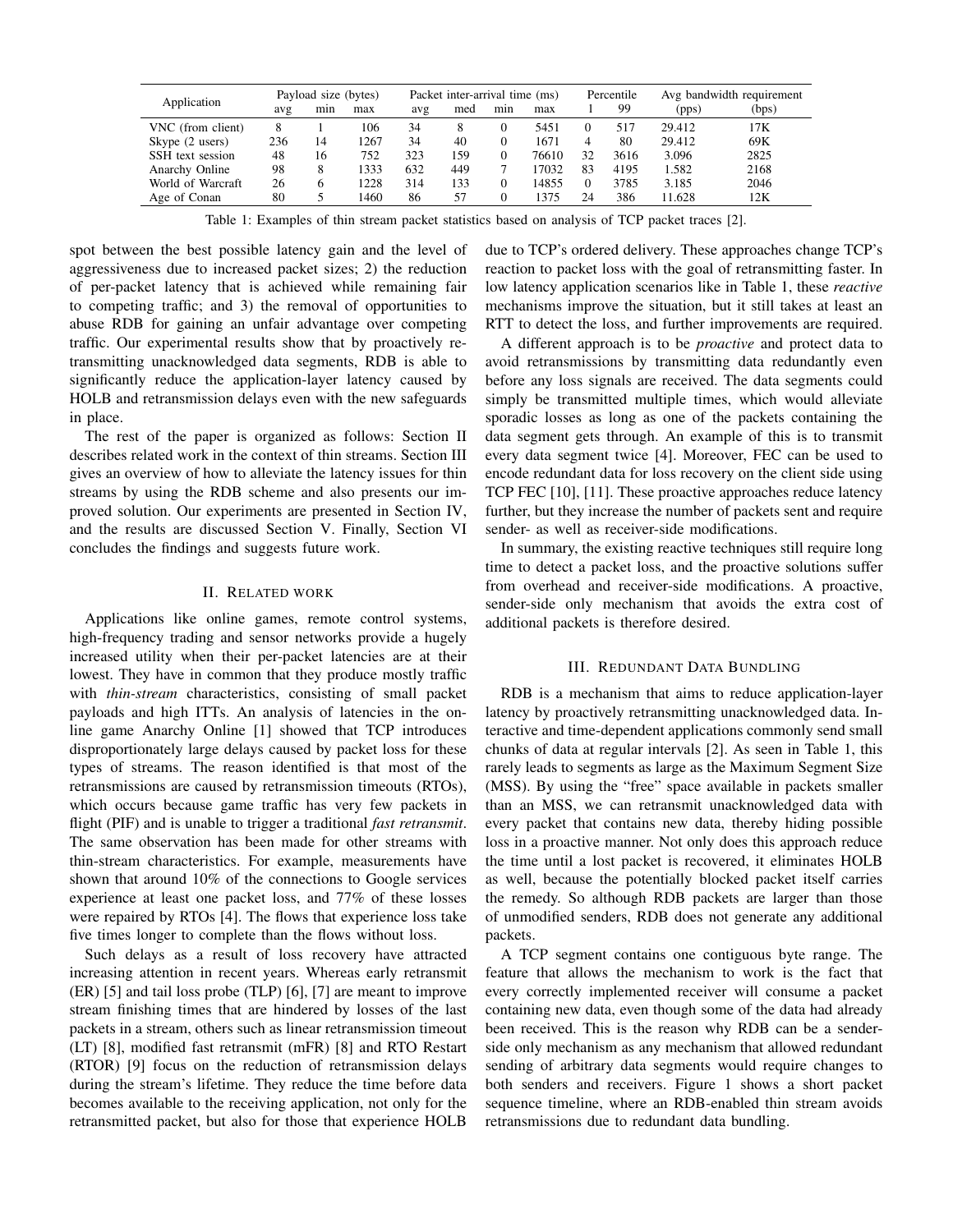| Application       | Payload size (bytes) |     |      | Packet inter-arrival time (ms) |     |          |       | Percentile |      | Avg bandwidth requirement |       |
|-------------------|----------------------|-----|------|--------------------------------|-----|----------|-------|------------|------|---------------------------|-------|
|                   | avg                  | mın | max  | avg                            | med | min      | max   |            | 99   | (pps)                     | (bps) |
| VNC (from client) | 8                    |     | 106  | 34                             |     | 0        | 5451  |            | 517  | 29.412                    | 17K   |
| Skype (2 users)   | 236                  | 14  | 1267 | 34                             | 40  | $\Omega$ | 1671  | 4          | 80   | 29.412                    | 69K   |
| SSH text session  | 48                   | 16  | 752  | 323                            | 159 | $\Omega$ | 76610 | 32         | 3616 | 3.096                     | 2825  |
| Anarchy Online    | 98                   | 8   | 1333 | 632                            | 449 |          | 17032 | 83         | 4195 | 1.582                     | 2168  |
| World of Warcraft | 26                   |     | 1228 | 314                            | 133 | $\Omega$ | 14855 |            | 3785 | 3.185                     | 2046  |
| Age of Conan      | 80                   |     | 1460 | 86                             | 57  | $\Omega$ | 375   | 24         | 386  | 11.628                    | 12K   |

Table 1: Examples of thin stream packet statistics based on analysis of TCP packet traces [2].

spot between the best possible latency gain and the level of aggressiveness due to increased packet sizes; 2) the reduction of per-packet latency that is achieved while remaining fair to competing traffic; and 3) the removal of opportunities to abuse RDB for gaining an unfair advantage over competing traffic. Our experimental results show that by proactively retransmitting unacknowledged data segments, RDB is able to significantly reduce the application-layer latency caused by HOLB and retransmission delays even with the new safeguards in place.

The rest of the paper is organized as follows: Section II describes related work in the context of thin streams. Section III gives an overview of how to alleviate the latency issues for thin streams by using the RDB scheme and also presents our improved solution. Our experiments are presented in Section IV, and the results are discussed Section V. Finally, Section VI concludes the findings and suggests future work.

# II. RELATED WORK

Applications like online games, remote control systems, high-frequency trading and sensor networks provide a hugely increased utility when their per-packet latencies are at their lowest. They have in common that they produce mostly traffic with *thin-stream* characteristics, consisting of small packet payloads and high ITTs. An analysis of latencies in the online game Anarchy Online [1] showed that TCP introduces disproportionately large delays caused by packet loss for these types of streams. The reason identified is that most of the retransmissions are caused by retransmission timeouts (RTOs), which occurs because game traffic has very few packets in flight (PIF) and is unable to trigger a traditional *fast retransmit*. The same observation has been made for other streams with thin-stream characteristics. For example, measurements have shown that around 10% of the connections to Google services experience at least one packet loss, and 77% of these losses were repaired by RTOs [4]. The flows that experience loss take five times longer to complete than the flows without loss.

Such delays as a result of loss recovery have attracted increasing attention in recent years. Whereas early retransmit (ER) [5] and tail loss probe (TLP) [6], [7] are meant to improve stream finishing times that are hindered by losses of the last packets in a stream, others such as linear retransmission timeout (LT) [8], modified fast retransmit (mFR) [8] and RTO Restart (RTOR) [9] focus on the reduction of retransmission delays during the stream's lifetime. They reduce the time before data becomes available to the receiving application, not only for the retransmitted packet, but also for those that experience HOLB

due to TCP's ordered delivery. These approaches change TCP's reaction to packet loss with the goal of retransmitting faster. In low latency application scenarios like in Table 1, these *reactive* mechanisms improve the situation, but it still takes at least an RTT to detect the loss, and further improvements are required.

A different approach is to be *proactive* and protect data to avoid retransmissions by transmitting data redundantly even before any loss signals are received. The data segments could simply be transmitted multiple times, which would alleviate sporadic losses as long as one of the packets containing the data segment gets through. An example of this is to transmit every data segment twice [4]. Moreover, FEC can be used to encode redundant data for loss recovery on the client side using TCP FEC [10], [11]. These proactive approaches reduce latency further, but they increase the number of packets sent and require sender- as well as receiver-side modifications.

In summary, the existing reactive techniques still require long time to detect a packet loss, and the proactive solutions suffer from overhead and receiver-side modifications. A proactive, sender-side only mechanism that avoids the extra cost of additional packets is therefore desired.

# III. REDUNDANT DATA BUNDLING

RDB is a mechanism that aims to reduce application-layer latency by proactively retransmitting unacknowledged data. Interactive and time-dependent applications commonly send small chunks of data at regular intervals [2]. As seen in Table 1, this rarely leads to segments as large as the Maximum Segment Size (MSS). By using the "free" space available in packets smaller than an MSS, we can retransmit unacknowledged data with every packet that contains new data, thereby hiding possible loss in a proactive manner. Not only does this approach reduce the time until a lost packet is recovered, it eliminates HOLB as well, because the potentially blocked packet itself carries the remedy. So although RDB packets are larger than those of unmodified senders, RDB does not generate any additional packets.

A TCP segment contains one contiguous byte range. The feature that allows the mechanism to work is the fact that every correctly implemented receiver will consume a packet containing new data, even though some of the data had already been received. This is the reason why RDB can be a senderside only mechanism as any mechanism that allowed redundant sending of arbitrary data segments would require changes to both senders and receivers. Figure 1 shows a short packet sequence timeline, where an RDB-enabled thin stream avoids retransmissions due to redundant data bundling.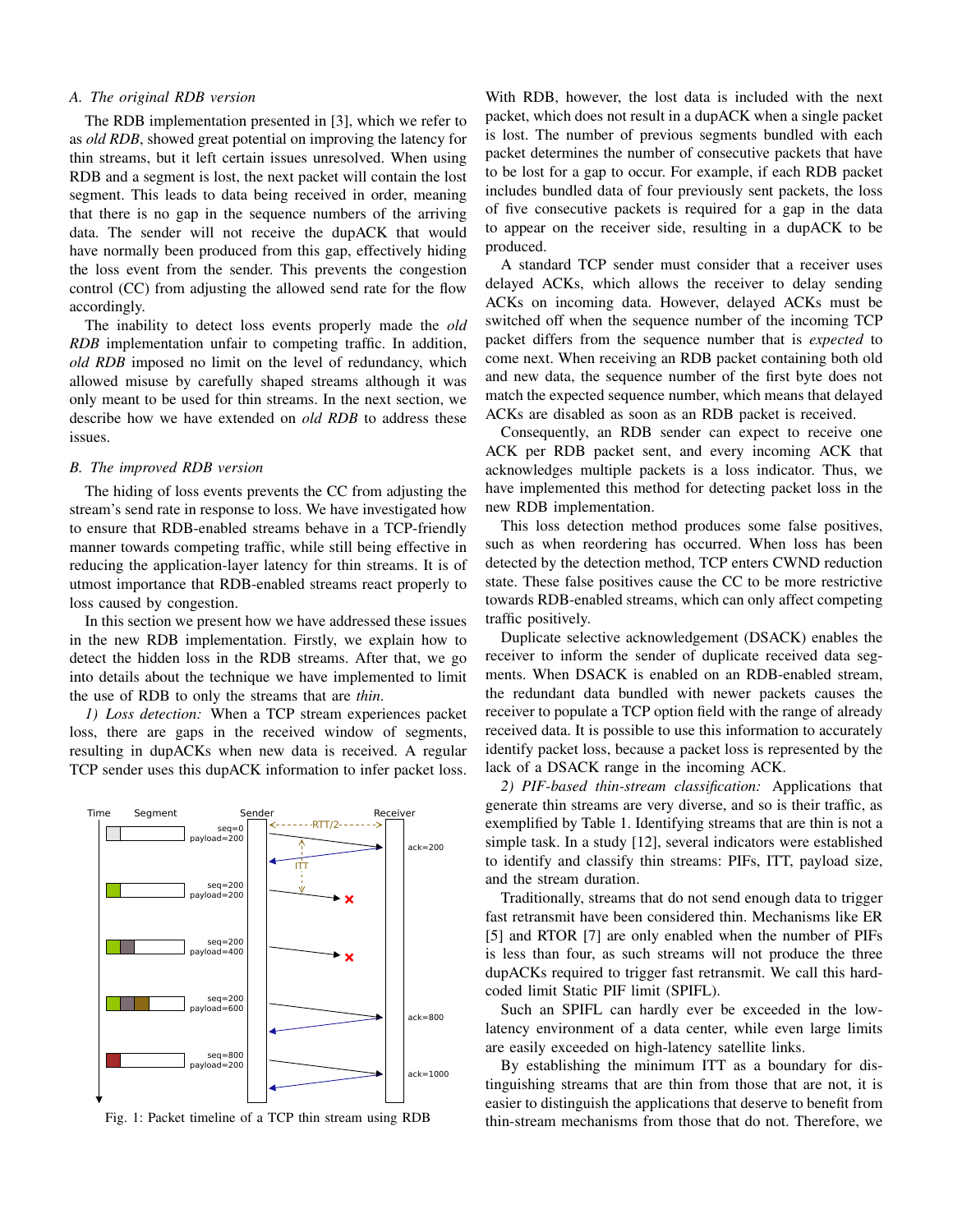# *A. The original RDB version*

The RDB implementation presented in [3], which we refer to as *old RDB*, showed great potential on improving the latency for thin streams, but it left certain issues unresolved. When using RDB and a segment is lost, the next packet will contain the lost segment. This leads to data being received in order, meaning that there is no gap in the sequence numbers of the arriving data. The sender will not receive the dupACK that would have normally been produced from this gap, effectively hiding the loss event from the sender. This prevents the congestion control (CC) from adjusting the allowed send rate for the flow accordingly.

The inability to detect loss events properly made the *old RDB* implementation unfair to competing traffic. In addition, *old RDB* imposed no limit on the level of redundancy, which allowed misuse by carefully shaped streams although it was only meant to be used for thin streams. In the next section, we describe how we have extended on *old RDB* to address these issues.

#### *B. The improved RDB version*

The hiding of loss events prevents the CC from adjusting the stream's send rate in response to loss. We have investigated how to ensure that RDB-enabled streams behave in a TCP-friendly manner towards competing traffic, while still being effective in reducing the application-layer latency for thin streams. It is of utmost importance that RDB-enabled streams react properly to loss caused by congestion.

In this section we present how we have addressed these issues in the new RDB implementation. Firstly, we explain how to detect the hidden loss in the RDB streams. After that, we go into details about the technique we have implemented to limit the use of RDB to only the streams that are *thin*.

*1) Loss detection:* When a TCP stream experiences packet loss, there are gaps in the received window of segments, resulting in dupACKs when new data is received. A regular TCP sender uses this dupACK information to infer packet loss.



Fig. 1: Packet timeline of a TCP thin stream using RDB

With RDB, however, the lost data is included with the next packet, which does not result in a dupACK when a single packet is lost. The number of previous segments bundled with each packet determines the number of consecutive packets that have to be lost for a gap to occur. For example, if each RDB packet includes bundled data of four previously sent packets, the loss of five consecutive packets is required for a gap in the data to appear on the receiver side, resulting in a dupACK to be produced.

A standard TCP sender must consider that a receiver uses delayed ACKs, which allows the receiver to delay sending ACKs on incoming data. However, delayed ACKs must be switched off when the sequence number of the incoming TCP packet differs from the sequence number that is *expected* to come next. When receiving an RDB packet containing both old and new data, the sequence number of the first byte does not match the expected sequence number, which means that delayed ACKs are disabled as soon as an RDB packet is received.

Consequently, an RDB sender can expect to receive one ACK per RDB packet sent, and every incoming ACK that acknowledges multiple packets is a loss indicator. Thus, we have implemented this method for detecting packet loss in the new RDB implementation.

This loss detection method produces some false positives, such as when reordering has occurred. When loss has been detected by the detection method, TCP enters CWND reduction state. These false positives cause the CC to be more restrictive towards RDB-enabled streams, which can only affect competing traffic positively.

Duplicate selective acknowledgement (DSACK) enables the receiver to inform the sender of duplicate received data segments. When DSACK is enabled on an RDB-enabled stream, the redundant data bundled with newer packets causes the receiver to populate a TCP option field with the range of already received data. It is possible to use this information to accurately identify packet loss, because a packet loss is represented by the lack of a DSACK range in the incoming ACK.

*2) PIF-based thin-stream classification:* Applications that generate thin streams are very diverse, and so is their traffic, as exemplified by Table 1. Identifying streams that are thin is not a simple task. In a study [12], several indicators were established to identify and classify thin streams: PIFs, ITT, payload size, and the stream duration.

Traditionally, streams that do not send enough data to trigger fast retransmit have been considered thin. Mechanisms like ER [5] and RTOR [7] are only enabled when the number of PIFs is less than four, as such streams will not produce the three dupACKs required to trigger fast retransmit. We call this hardcoded limit Static PIF limit (SPIFL).

Such an SPIFL can hardly ever be exceeded in the lowlatency environment of a data center, while even large limits are easily exceeded on high-latency satellite links.

By establishing the minimum ITT as a boundary for distinguishing streams that are thin from those that are not, it is easier to distinguish the applications that deserve to benefit from thin-stream mechanisms from those that do not. Therefore, we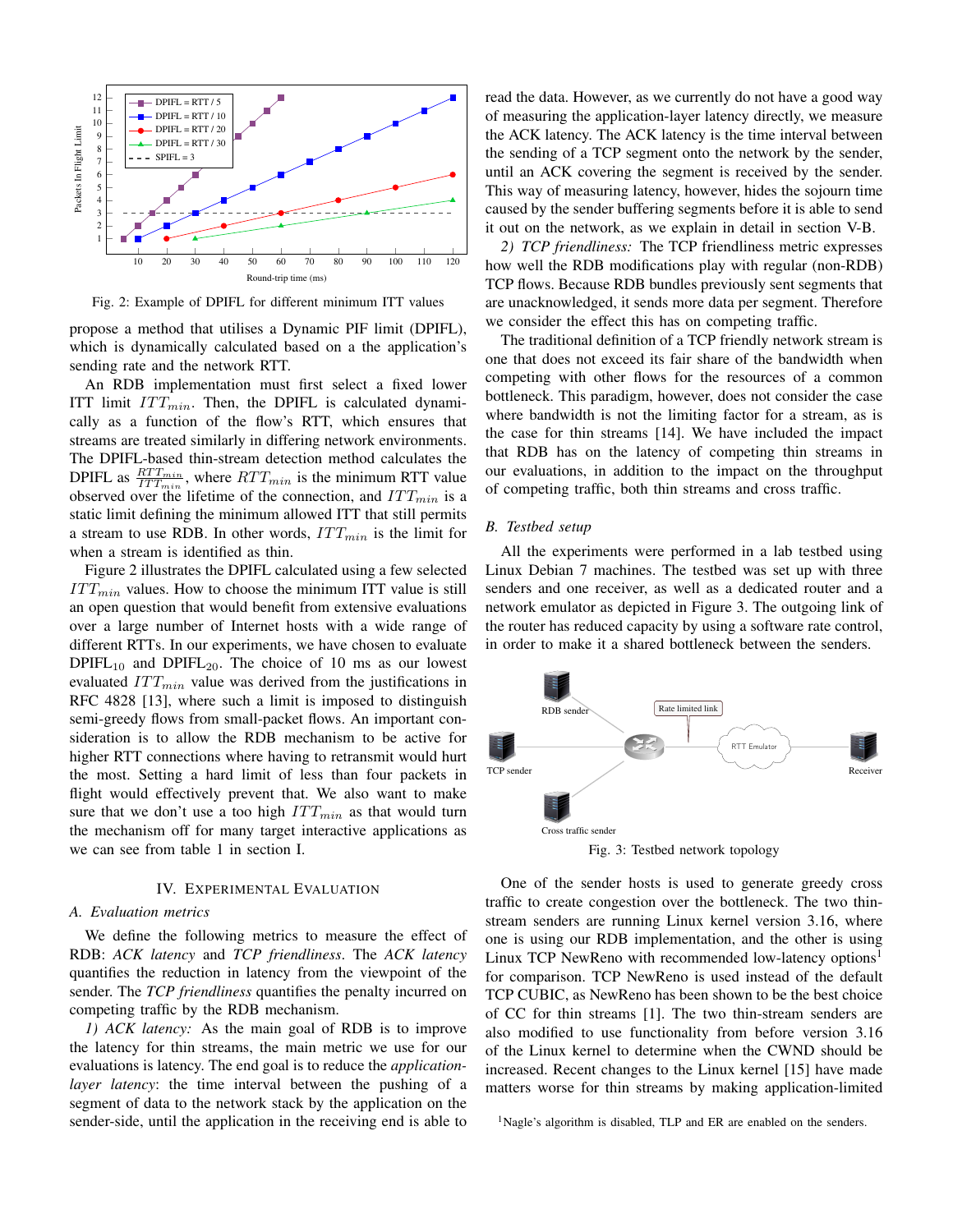

Fig. 2: Example of DPIFL for different minimum ITT values

propose a method that utilises a Dynamic PIF limit (DPIFL), which is dynamically calculated based on a the application's sending rate and the network RTT.

An RDB implementation must first select a fixed lower ITT limit  $ITT_{min}$ . Then, the DPIFL is calculated dynamically as a function of the flow's RTT, which ensures that streams are treated similarly in differing network environments. The DPIFL-based thin-stream detection method calculates the DPIFL as  $\frac{RTT_{min}}{ITT_{min}}$ , where  $RTT_{min}$  is the minimum RTT value observed over the lifetime of the connection, and  $ITT_{min}$  is a static limit defining the minimum allowed ITT that still permits a stream to use RDB. In other words, *IT Tmin* is the limit for when a stream is identified as thin.

Figure 2 illustrates the DPIFL calculated using a few selected  $ITT_{min}$  values. How to choose the minimum ITT value is still an open question that would benefit from extensive evaluations over a large number of Internet hosts with a wide range of different RTTs. In our experiments, we have chosen to evaluate  $DPIFL_{10}$  and  $DPIFL_{20}$ . The choice of 10 ms as our lowest evaluated *ITT<sub>min</sub>* value was derived from the justifications in RFC 4828 [13], where such a limit is imposed to distinguish semi-greedy flows from small-packet flows. An important consideration is to allow the RDB mechanism to be active for higher RTT connections where having to retransmit would hurt the most. Setting a hard limit of less than four packets in flight would effectively prevent that. We also want to make sure that we don't use a too high *IT Tmin* as that would turn the mechanism off for many target interactive applications as we can see from table 1 in section I.

## IV. EXPERIMENTAL EVALUATION

## *A. Evaluation metrics*

We define the following metrics to measure the effect of RDB: *ACK latency* and *TCP friendliness*. The *ACK latency* quantifies the reduction in latency from the viewpoint of the sender. The *TCP friendliness* quantifies the penalty incurred on competing traffic by the RDB mechanism.

*1) ACK latency:* As the main goal of RDB is to improve the latency for thin streams, the main metric we use for our evaluations is latency. The end goal is to reduce the *applicationlayer latency*: the time interval between the pushing of a segment of data to the network stack by the application on the sender-side, until the application in the receiving end is able to read the data. However, as we currently do not have a good way of measuring the application-layer latency directly, we measure the ACK latency. The ACK latency is the time interval between the sending of a TCP segment onto the network by the sender, until an ACK covering the segment is received by the sender. This way of measuring latency, however, hides the sojourn time caused by the sender buffering segments before it is able to send it out on the network, as we explain in detail in section V-B.

*2) TCP friendliness:* The TCP friendliness metric expresses how well the RDB modifications play with regular (non-RDB) TCP flows. Because RDB bundles previously sent segments that are unacknowledged, it sends more data per segment. Therefore we consider the effect this has on competing traffic.

The traditional definition of a TCP friendly network stream is one that does not exceed its fair share of the bandwidth when competing with other flows for the resources of a common bottleneck. This paradigm, however, does not consider the case where bandwidth is not the limiting factor for a stream, as is the case for thin streams [14]. We have included the impact that RDB has on the latency of competing thin streams in our evaluations, in addition to the impact on the throughput of competing traffic, both thin streams and cross traffic.

# *B. Testbed setup*

All the experiments were performed in a lab testbed using Linux Debian 7 machines. The testbed was set up with three senders and one receiver, as well as a dedicated router and a network emulator as depicted in Figure 3. The outgoing link of the router has reduced capacity by using a software rate control, in order to make it a shared bottleneck between the senders.



Fig. 3: Testbed network topology

One of the sender hosts is used to generate greedy cross traffic to create congestion over the bottleneck. The two thinstream senders are running Linux kernel version 3.16, where one is using our RDB implementation, and the other is using Linux TCP NewReno with recommended low-latency options<sup>1</sup> for comparison. TCP NewReno is used instead of the default TCP CUBIC, as NewReno has been shown to be the best choice of CC for thin streams [1]. The two thin-stream senders are also modified to use functionality from before version 3.16 of the Linux kernel to determine when the CWND should be increased. Recent changes to the Linux kernel [15] have made matters worse for thin streams by making application-limited

<sup>1</sup>Nagle's algorithm is disabled, TLP and ER are enabled on the senders.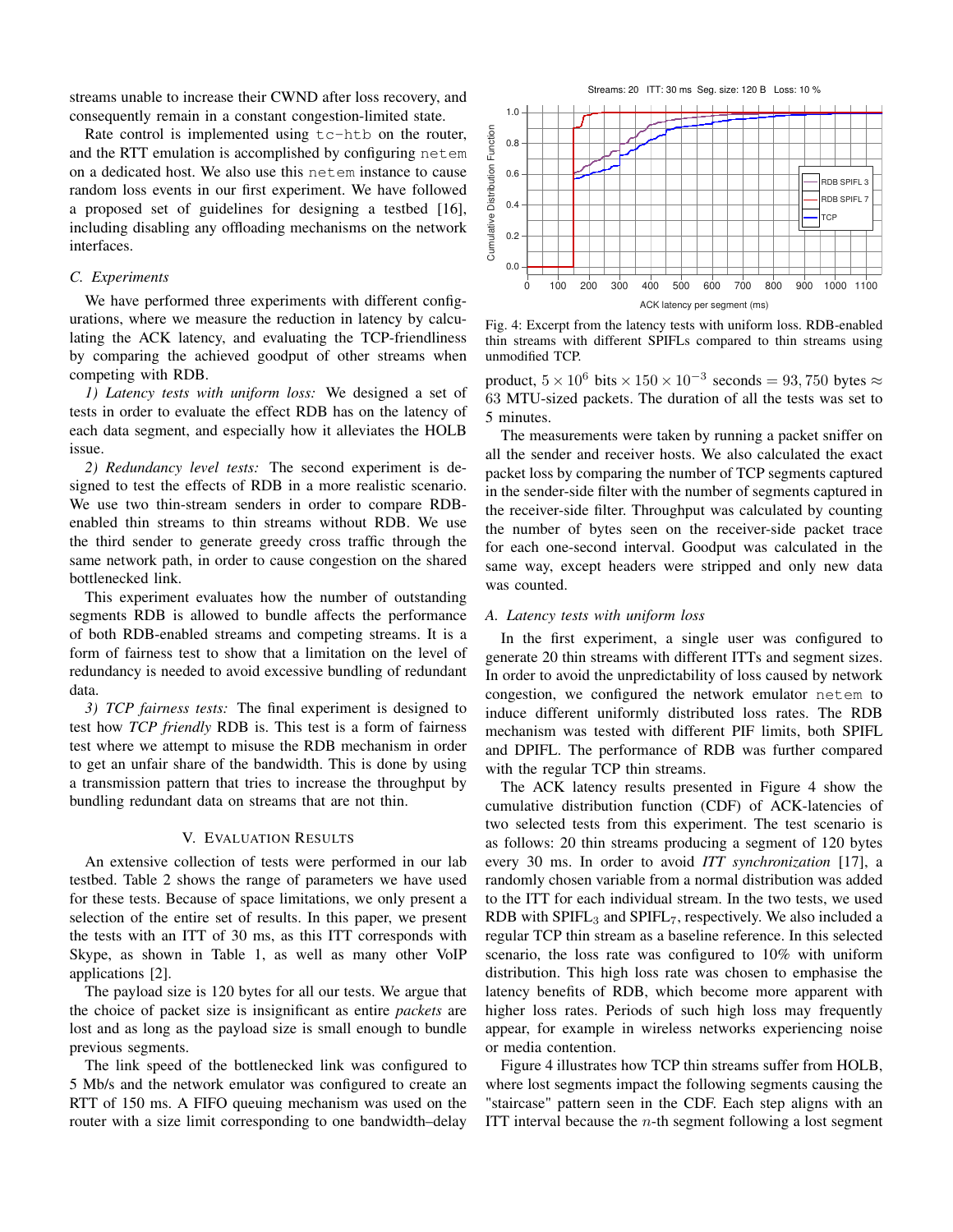streams unable to increase their CWND after loss recovery, and consequently remain in a constant congestion-limited state.

Rate control is implemented using  $tc$ -htb on the router, and the RTT emulation is accomplished by configuring netem on a dedicated host. We also use this netem instance to cause random loss events in our first experiment. We have followed a proposed set of guidelines for designing a testbed [16], including disabling any offloading mechanisms on the network interfaces.

#### *C. Experiments*

We have performed three experiments with different configurations, where we measure the reduction in latency by calculating the ACK latency, and evaluating the TCP-friendliness by comparing the achieved goodput of other streams when competing with RDB.

*1) Latency tests with uniform loss:* We designed a set of tests in order to evaluate the effect RDB has on the latency of each data segment, and especially how it alleviates the HOLB issue.

*2) Redundancy level tests:* The second experiment is designed to test the effects of RDB in a more realistic scenario. We use two thin-stream senders in order to compare RDBenabled thin streams to thin streams without RDB. We use the third sender to generate greedy cross traffic through the same network path, in order to cause congestion on the shared bottlenecked link.

This experiment evaluates how the number of outstanding segments RDB is allowed to bundle affects the performance of both RDB-enabled streams and competing streams. It is a form of fairness test to show that a limitation on the level of redundancy is needed to avoid excessive bundling of redundant data.

*3) TCP fairness tests:* The final experiment is designed to test how *TCP friendly* RDB is. This test is a form of fairness test where we attempt to misuse the RDB mechanism in order to get an unfair share of the bandwidth. This is done by using a transmission pattern that tries to increase the throughput by bundling redundant data on streams that are not thin.

# V. EVALUATION RESULTS

An extensive collection of tests were performed in our lab testbed. Table 2 shows the range of parameters we have used for these tests. Because of space limitations, we only present a selection of the entire set of results. In this paper, we present the tests with an ITT of 30 ms, as this ITT corresponds with Skype, as shown in Table 1, as well as many other VoIP applications [2].

The payload size is 120 bytes for all our tests. We argue that the choice of packet size is insignificant as entire *packets* are lost and as long as the payload size is small enough to bundle previous segments.

The link speed of the bottlenecked link was configured to 5 Mb/s and the network emulator was configured to create an RTT of 150 ms. A FIFO queuing mechanism was used on the router with a size limit corresponding to one bandwidth–delay



Fig. 4: Excerpt from the latency tests with uniform loss. RDB-enabled thin streams with different SPIFLs compared to thin streams using unmodified TCP.

product,  $5 \times 10^6$  bits  $\times 150 \times 10^{-3}$  seconds = 93,750 bytes  $\approx$ 63 MTU-sized packets. The duration of all the tests was set to 5 minutes.

The measurements were taken by running a packet sniffer on all the sender and receiver hosts. We also calculated the exact packet loss by comparing the number of TCP segments captured in the sender-side filter with the number of segments captured in the receiver-side filter. Throughput was calculated by counting the number of bytes seen on the receiver-side packet trace for each one-second interval. Goodput was calculated in the same way, except headers were stripped and only new data was counted.

## *A. Latency tests with uniform loss*

In the first experiment, a single user was configured to generate 20 thin streams with different ITTs and segment sizes. In order to avoid the unpredictability of loss caused by network congestion, we configured the network emulator netem to induce different uniformly distributed loss rates. The RDB mechanism was tested with different PIF limits, both SPIFL and DPIFL. The performance of RDB was further compared with the regular TCP thin streams.

The ACK latency results presented in Figure 4 show the cumulative distribution function (CDF) of ACK-latencies of two selected tests from this experiment. The test scenario is as follows: 20 thin streams producing a segment of 120 bytes every 30 ms. In order to avoid *ITT synchronization* [17], a randomly chosen variable from a normal distribution was added to the ITT for each individual stream. In the two tests, we used RDB with  $SPIFL<sub>3</sub>$  and  $SPIFL<sub>7</sub>$ , respectively. We also included a regular TCP thin stream as a baseline reference. In this selected scenario, the loss rate was configured to 10% with uniform distribution. This high loss rate was chosen to emphasise the latency benefits of RDB, which become more apparent with higher loss rates. Periods of such high loss may frequently appear, for example in wireless networks experiencing noise or media contention.

Figure 4 illustrates how TCP thin streams suffer from HOLB, where lost segments impact the following segments causing the "staircase" pattern seen in the CDF. Each step aligns with an ITT interval because the *n*-th segment following a lost segment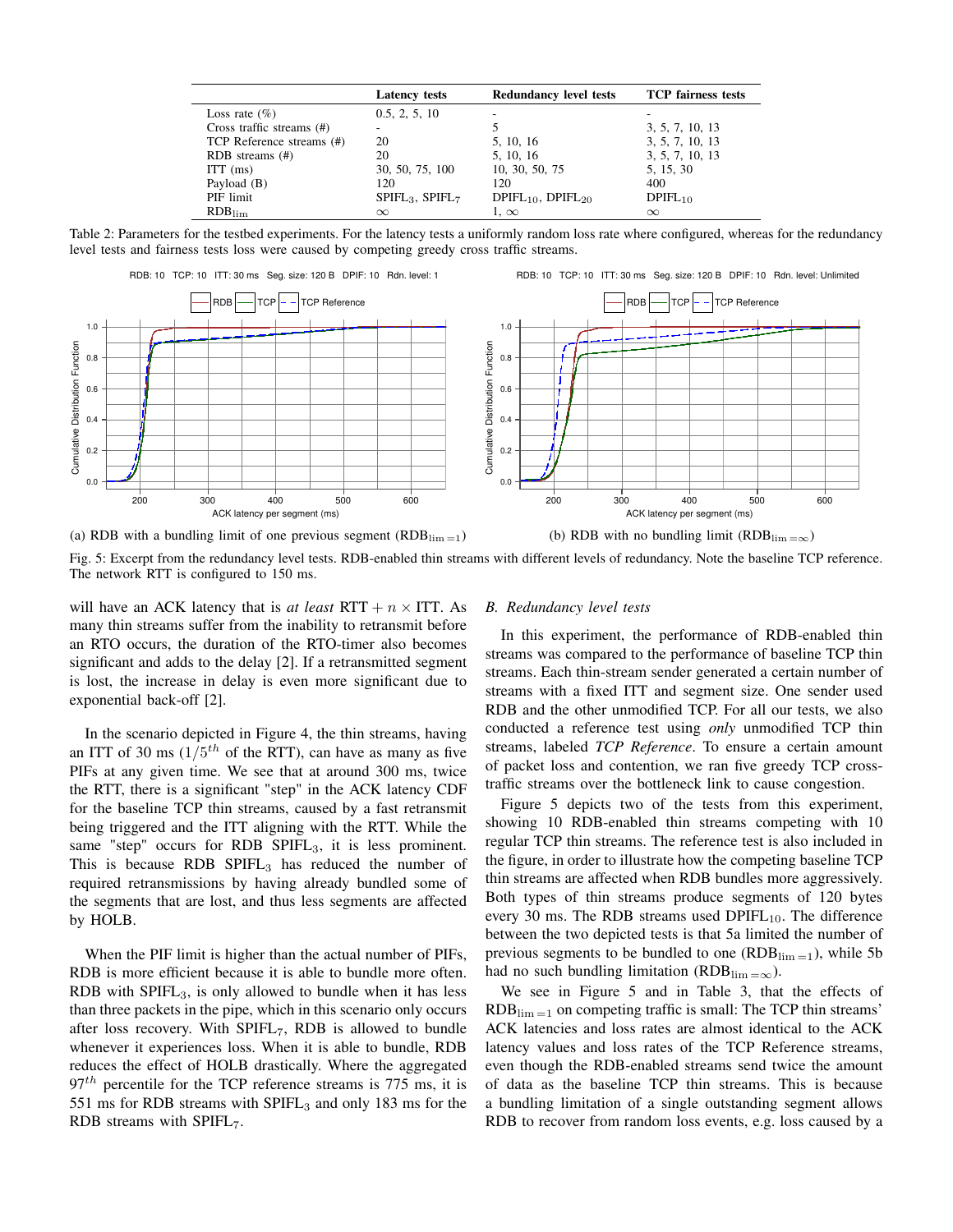|                              | <b>Latency tests</b> | <b>Redundancy level tests</b> | <b>TCP</b> fairness tests |
|------------------------------|----------------------|-------------------------------|---------------------------|
| Loss rate $(\% )$            | 0.5, 2, 5, 10        |                               |                           |
| Cross traffic streams $(\#)$ |                      |                               | 3, 5, 7, 10, 13           |
| TCP Reference streams (#)    | 20                   | 5, 10, 16                     | 3, 5, 7, 10, 13           |
| RDB streams $(\#)$           | 20                   | 5, 10, 16                     | 3, 5, 7, 10, 13           |
| $ITT$ (ms)                   | 30, 50, 75, 100      | 10, 30, 50, 75                | 5, 15, 30                 |
| Payload (B)                  | 120                  | 120                           | 400                       |
| PIF limit                    | $SPIFL3$ , $SPIFL7$  | $DPIFL_{10}$ , $DPIFL_{20}$   | $DPIFL_{10}$              |
| $RDB$ <sub>lim</sub>         | $\infty$             | 1. $\infty$                   | $\infty$                  |

Table 2: Parameters for the testbed experiments. For the latency tests a uniformly random loss rate where configured, whereas for the redundancy level tests and fairness tests loss were caused by competing greedy cross traffic streams.



(a) RDB with a bundling limit of one previous segment  $(RDB_{lim=1})$ 

(b) RDB with no bundling limit  $(RDB_{lim = \infty})$ 

Fig. 5: Excerpt from the redundancy level tests. RDB-enabled thin streams with different levels of redundancy. Note the baseline TCP reference. The network RTT is configured to 150 ms.

will have an ACK latency that is *at least*  $RTT + n \times ITT$ . As many thin streams suffer from the inability to retransmit before an RTO occurs, the duration of the RTO-timer also becomes significant and adds to the delay [2]. If a retransmitted segment is lost, the increase in delay is even more significant due to exponential back-off [2].

In the scenario depicted in Figure 4, the thin streams, having an ITT of 30 ms  $(1/5<sup>th</sup>$  of the RTT), can have as many as five PIFs at any given time. We see that at around 300 ms, twice the RTT, there is a significant "step" in the ACK latency CDF for the baseline TCP thin streams, caused by a fast retransmit being triggered and the ITT aligning with the RTT. While the same "step" occurs for RDB  $SPIFL<sub>3</sub>$ , it is less prominent. This is because RDB SPIFL<sub>3</sub> has reduced the number of required retransmissions by having already bundled some of the segments that are lost, and thus less segments are affected by HOLB.

When the PIF limit is higher than the actual number of PIFs, RDB is more efficient because it is able to bundle more often. RDB with  $SPIFL<sub>3</sub>$ , is only allowed to bundle when it has less than three packets in the pipe, which in this scenario only occurs after loss recovery. With  $SPIFL_7$ , RDB is allowed to bundle whenever it experiences loss. When it is able to bundle, RDB reduces the effect of HOLB drastically. Where the aggregated 97*th* percentile for the TCP reference streams is 775 ms, it is 551 ms for RDB streams with SPIFL<sub>3</sub> and only 183 ms for the RDB streams with SPIFL7.

# *B. Redundancy level tests*

In this experiment, the performance of RDB-enabled thin streams was compared to the performance of baseline TCP thin streams. Each thin-stream sender generated a certain number of streams with a fixed ITT and segment size. One sender used RDB and the other unmodified TCP. For all our tests, we also conducted a reference test using *only* unmodified TCP thin streams, labeled *TCP Reference*. To ensure a certain amount of packet loss and contention, we ran five greedy TCP crosstraffic streams over the bottleneck link to cause congestion.

Figure 5 depicts two of the tests from this experiment, showing 10 RDB-enabled thin streams competing with 10 regular TCP thin streams. The reference test is also included in the figure, in order to illustrate how the competing baseline TCP thin streams are affected when RDB bundles more aggressively. Both types of thin streams produce segments of 120 bytes every 30 ms. The RDB streams used  $DPIFL<sub>10</sub>$ . The difference between the two depicted tests is that 5a limited the number of previous segments to be bundled to one  $(RDB_{\text{lim}}=1)$ , while 5b had no such bundling limitation (RDB<sub>lim = $\infty$ </sub>).

We see in Figure 5 and in Table 3, that the effects of  $RDB$ <sub>lim =1</sub> on competing traffic is small: The TCP thin streams' ACK latencies and loss rates are almost identical to the ACK latency values and loss rates of the TCP Reference streams, even though the RDB-enabled streams send twice the amount of data as the baseline TCP thin streams. This is because a bundling limitation of a single outstanding segment allows RDB to recover from random loss events, e.g. loss caused by a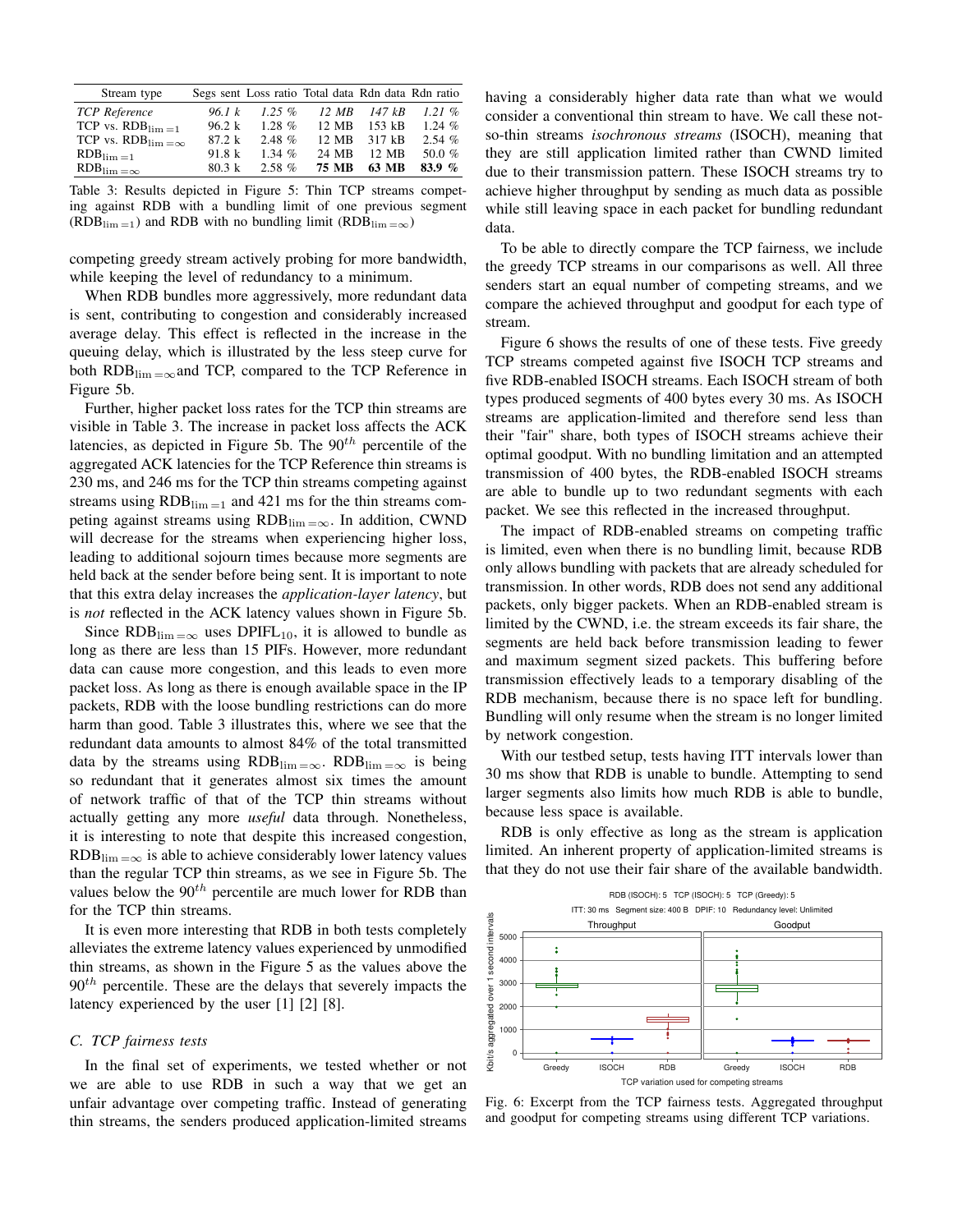| Stream type                                       |        | Segs sent Loss ratio Total data Rdn data Rdn ratio |                    |          |           |
|---------------------------------------------------|--------|----------------------------------------------------|--------------------|----------|-----------|
| <b>TCP</b> Reference                              | 96.1 k | $1.25\%$                                           | $12 \overline{MB}$ | 147 kB   | 121%      |
| TCP vs. $RDB$ <sub>lim =1</sub>                   | 96.2 k | $1.28\%$                                           | 12 MB              | $153$ kB | $1.24~\%$ |
| TCP vs. $RDB$ <sub>lim <math>=\infty</math></sub> | 87.2 k | 2.48%                                              | 12 MB              | 317 kB   | 2.54%     |
| $RDB_{\lim{=}1}$                                  | 91.8 k | 1.34 $%$                                           | 24 MB              | 12 MB    | 50.0 $%$  |
| $RDB$ <sub>lim</sub> $=\infty$                    | 80.3 k | $2.58\%$                                           | 75 MB              | 63 MB    | 83.9 $%$  |

Table 3: Results depicted in Figure 5: Thin TCP streams competing against RDB with a bundling limit of one previous segment  $(RDB_{\text{lim}}=1)$  and RDB with no bundling limit  $(RDB_{\text{lim}}=0)$ 

competing greedy stream actively probing for more bandwidth, while keeping the level of redundancy to a minimum.

When RDB bundles more aggressively, more redundant data is sent, contributing to congestion and considerably increased average delay. This effect is reflected in the increase in the queuing delay, which is illustrated by the less steep curve for both  $RDB_{\lim_{x\to\infty}}$  and TCP, compared to the TCP Reference in Figure 5b.

Further, higher packet loss rates for the TCP thin streams are visible in Table 3. The increase in packet loss affects the ACK latencies, as depicted in Figure 5b. The 90*th* percentile of the aggregated ACK latencies for the TCP Reference thin streams is 230 ms, and 246 ms for the TCP thin streams competing against streams using  $RDB_{\text{lim} = 1}$  and 421 ms for the thin streams competing against streams using  $RDB_{\lim \infty}$ . In addition, CWND will decrease for the streams when experiencing higher loss, leading to additional sojourn times because more segments are held back at the sender before being sent. It is important to note that this extra delay increases the *application-layer latency*, but is *not* reflected in the ACK latency values shown in Figure 5b.

Since  $RDB_{\lim_{x \to \infty}}$  uses  $DPIFL_{10}$ , it is allowed to bundle as long as there are less than 15 PIFs. However, more redundant data can cause more congestion, and this leads to even more packet loss. As long as there is enough available space in the IP packets, RDB with the loose bundling restrictions can do more harm than good. Table 3 illustrates this, where we see that the redundant data amounts to almost 84% of the total transmitted data by the streams using  $RDB_{\lim=\infty}$ .  $RDB_{\lim=\infty}$  is being so redundant that it generates almost six times the amount of network traffic of that of the TCP thin streams without actually getting any more *useful* data through. Nonetheless, it is interesting to note that despite this increased congestion,  $RDB$ <sub>lim  $=\infty$ </sub> is able to achieve considerably lower latency values than the regular TCP thin streams, as we see in Figure 5b. The values below the 90*th* percentile are much lower for RDB than for the TCP thin streams.

It is even more interesting that RDB in both tests completely alleviates the extreme latency values experienced by unmodified thin streams, as shown in the Figure 5 as the values above the 90*th* percentile. These are the delays that severely impacts the latency experienced by the user [1] [2] [8].

# *C. TCP fairness tests*

In the final set of experiments, we tested whether or not we are able to use RDB in such a way that we get an unfair advantage over competing traffic. Instead of generating thin streams, the senders produced application-limited streams having a considerably higher data rate than what we would consider a conventional thin stream to have. We call these notso-thin streams *isochronous streams* (ISOCH), meaning that they are still application limited rather than CWND limited due to their transmission pattern. These ISOCH streams try to achieve higher throughput by sending as much data as possible while still leaving space in each packet for bundling redundant data.

To be able to directly compare the TCP fairness, we include the greedy TCP streams in our comparisons as well. All three senders start an equal number of competing streams, and we compare the achieved throughput and goodput for each type of stream.

Figure 6 shows the results of one of these tests. Five greedy TCP streams competed against five ISOCH TCP streams and five RDB-enabled ISOCH streams. Each ISOCH stream of both types produced segments of 400 bytes every 30 ms. As ISOCH streams are application-limited and therefore send less than their "fair" share, both types of ISOCH streams achieve their optimal goodput. With no bundling limitation and an attempted transmission of 400 bytes, the RDB-enabled ISOCH streams are able to bundle up to two redundant segments with each packet. We see this reflected in the increased throughput.

The impact of RDB-enabled streams on competing traffic is limited, even when there is no bundling limit, because RDB only allows bundling with packets that are already scheduled for transmission. In other words, RDB does not send any additional packets, only bigger packets. When an RDB-enabled stream is limited by the CWND, i.e. the stream exceeds its fair share, the segments are held back before transmission leading to fewer and maximum segment sized packets. This buffering before transmission effectively leads to a temporary disabling of the RDB mechanism, because there is no space left for bundling. Bundling will only resume when the stream is no longer limited by network congestion.

With our testbed setup, tests having ITT intervals lower than 30 ms show that RDB is unable to bundle. Attempting to send larger segments also limits how much RDB is able to bundle, because less space is available.

RDB is only effective as long as the stream is application limited. An inherent property of application-limited streams is that they do not use their fair share of the available bandwidth.



Fig. 6: Excerpt from the TCP fairness tests. Aggregated throughput and goodput for competing streams using different TCP variations.